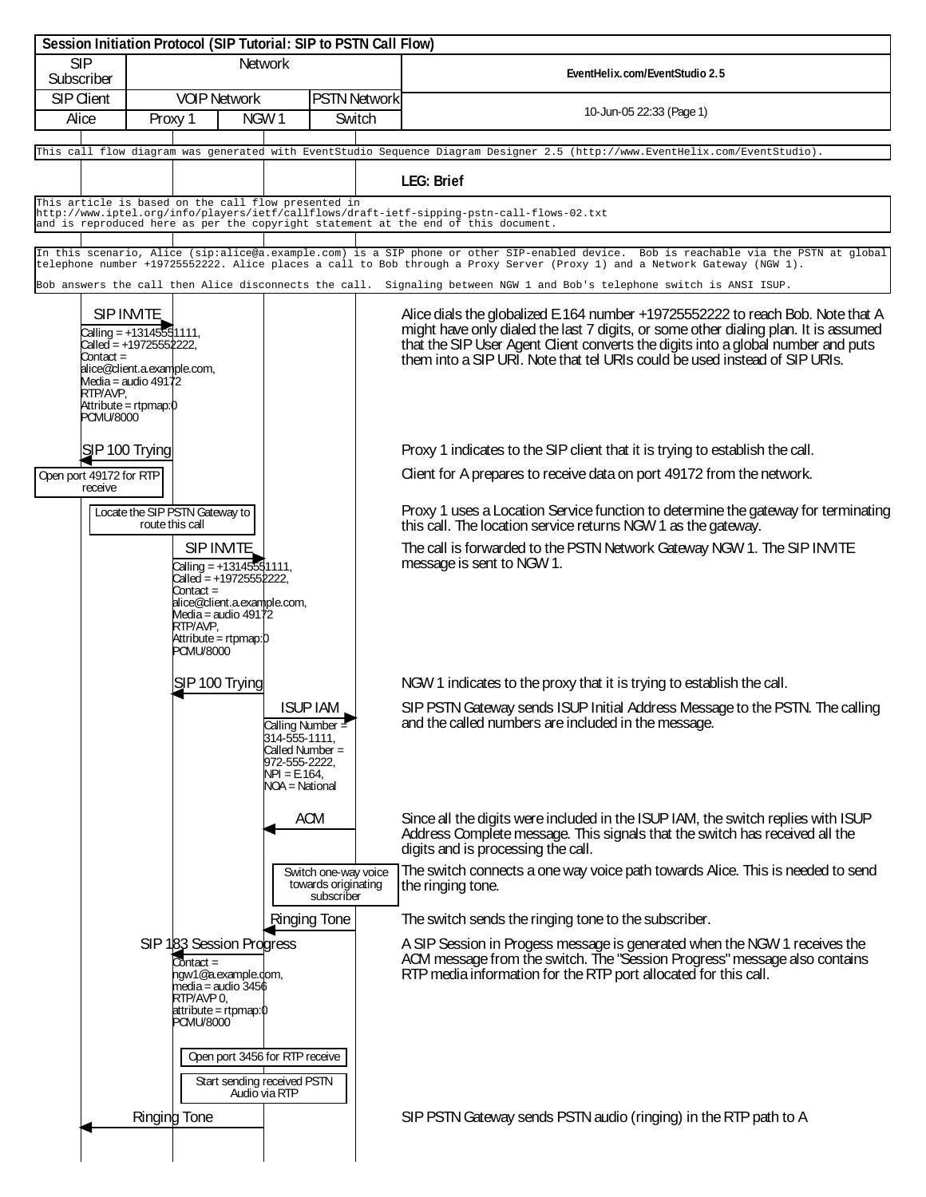|                            |                                                                                                                                                                                                |                 |                                                                                                                                                                                        | Session Initiation Protocol (SIP Tutorial: SIP to PSTN Call Flow)                                                               |                               |                                                                                                                                                                                                                                                                                                                                         |
|----------------------------|------------------------------------------------------------------------------------------------------------------------------------------------------------------------------------------------|-----------------|----------------------------------------------------------------------------------------------------------------------------------------------------------------------------------------|---------------------------------------------------------------------------------------------------------------------------------|-------------------------------|-----------------------------------------------------------------------------------------------------------------------------------------------------------------------------------------------------------------------------------------------------------------------------------------------------------------------------------------|
| SIP<br>Subscriber          |                                                                                                                                                                                                | <b>Network</b>  |                                                                                                                                                                                        |                                                                                                                                 |                               | EventHelix.com/EventStudio 2.5                                                                                                                                                                                                                                                                                                          |
| <b>SIP Client</b><br>Alice |                                                                                                                                                                                                |                 | <b>VOIP Network</b><br>NGW1<br>Proxy 1                                                                                                                                                 |                                                                                                                                 | <b>PSTN Network</b><br>Switch | 10-Jun-05 22:33 (Page 1)                                                                                                                                                                                                                                                                                                                |
|                            |                                                                                                                                                                                                |                 |                                                                                                                                                                                        |                                                                                                                                 |                               | This call flow diagram was generated with EventStudio Sequence Diagram Designer 2.5 (http://www.EventHelix.com/EventStudio).                                                                                                                                                                                                            |
|                            |                                                                                                                                                                                                |                 |                                                                                                                                                                                        |                                                                                                                                 |                               | <b>LEG: Brief</b>                                                                                                                                                                                                                                                                                                                       |
|                            |                                                                                                                                                                                                |                 |                                                                                                                                                                                        | This article is based on the call flow presented in                                                                             |                               | http://www.iptel.org/info/players/ietf/callflows/draft-ietf-sipping-pstn-call-flows-02.txt<br>and is reproduced here as per the copyright statement at the end of this document.                                                                                                                                                        |
|                            |                                                                                                                                                                                                |                 |                                                                                                                                                                                        |                                                                                                                                 |                               | In this scenario, Alice (sip:alice@a.example.com) is a SIP phone or other SIP-enabled device. Bob is reachable via the PSTN at global                                                                                                                                                                                                   |
|                            |                                                                                                                                                                                                |                 |                                                                                                                                                                                        |                                                                                                                                 |                               | telephone number +19725552222. Alice places a call to Bob through a Proxy Server (Proxy 1) and a Network Gateway (NGW 1).                                                                                                                                                                                                               |
|                            |                                                                                                                                                                                                |                 |                                                                                                                                                                                        |                                                                                                                                 |                               | Bob answers the call then Alice disconnects the call. Signaling between NGW 1 and Bob's telephone switch is ANSI ISUP.                                                                                                                                                                                                                  |
|                            | SIP INVITE<br>Calling = $+13145551111$ ,<br>Called = +19725552222,<br>Contact =<br>alice@client.a.example.com,<br>Media = audio 49172<br>RTP/AVP,<br>Attribute = rtpmap: 0<br><b>PCMU/8000</b> |                 |                                                                                                                                                                                        |                                                                                                                                 |                               | Alice dials the globalized E.164 number +19725552222 to reach Bob. Note that A<br>might have only dialed the last 7 digits, or some other dialing plan. It is assumed<br>that the SIP User Agent Client converts the digits into a global number and puts<br>them into a SIP URI. Note that tel URIs could be used instead of SIP URIs. |
|                            | SJP 100 Trying                                                                                                                                                                                 |                 |                                                                                                                                                                                        |                                                                                                                                 |                               | Proxy 1 indicates to the SIP client that it is trying to establish the call.                                                                                                                                                                                                                                                            |
|                            | Open port 49172 for RTP<br>receive                                                                                                                                                             |                 |                                                                                                                                                                                        |                                                                                                                                 |                               | Client for A prepares to receive data on port 49172 from the network.                                                                                                                                                                                                                                                                   |
|                            |                                                                                                                                                                                                | route this call | Locate the SIP PSTN Gateway to                                                                                                                                                         |                                                                                                                                 |                               | Proxy 1 uses a Location Service function to determine the gateway for terminating<br>this call. The location service returns NGW 1 as the gateway.                                                                                                                                                                                      |
|                            |                                                                                                                                                                                                |                 | SIP INVITE<br>Calling = $+13145551111$ ,<br>Called = +1972555⊉222,<br>Contact =<br>alice@client.a.example.com,<br>Media = audio 49172<br>RTP/AVP,<br>Attribute = rtpmap:0<br>PCMU/8000 |                                                                                                                                 |                               | The call is forwarded to the PSTN Network Gateway NGW 1. The SIP INVITE<br>message is sent to NGW 1.                                                                                                                                                                                                                                    |
|                            |                                                                                                                                                                                                |                 | SJP 100 Trying                                                                                                                                                                         |                                                                                                                                 |                               | NGW 1 indicates to the proxy that it is trying to establish the call.                                                                                                                                                                                                                                                                   |
|                            |                                                                                                                                                                                                |                 |                                                                                                                                                                                        | <b>ISUP IAM</b><br>Calling Number =<br>$314 - 555 - 1111$<br>Called Number =<br>972-555-2222,<br>NPI = E.164,<br>NOA = National |                               | SIP PSTN Gateway sends ISUP Initial Address Message to the PSTN. The calling<br>and the called numbers are included in the message.                                                                                                                                                                                                     |
|                            |                                                                                                                                                                                                |                 |                                                                                                                                                                                        | ACM                                                                                                                             |                               | Since all the digits were included in the ISUP IAM, the switch replies with ISUP<br>Address Complete message. This signals that the switch has received all the<br>digits and is processing the call.                                                                                                                                   |
|                            |                                                                                                                                                                                                |                 |                                                                                                                                                                                        | Switch one-way voice<br>towards originating<br>subscriber                                                                       |                               | The switch connects a one way voice path towards Alice. This is needed to send<br>the ringing tone.                                                                                                                                                                                                                                     |
|                            |                                                                                                                                                                                                |                 |                                                                                                                                                                                        | Ringing Tone                                                                                                                    |                               | The switch sends the ringing tone to the subscriber.                                                                                                                                                                                                                                                                                    |
|                            |                                                                                                                                                                                                |                 | SIP 183 Session Progress<br>Contact =<br>ngw1@a.example.c <mark>om,</mark><br>media = audio 3456<br>RTP/AVP 0,<br>$\lambda$ attribute = rtpmap: $\phi$<br>PCMU/8000                    |                                                                                                                                 |                               | A SIP Session in Progess message is generated when the NGW 1 receives the ACM message from the switch. The "Session Progress" message also contains<br>RTP media information for the RTP port allocated for this call.                                                                                                                  |
|                            |                                                                                                                                                                                                | Ringing Tone    |                                                                                                                                                                                        | Open port 3456 for RTP receive<br>Start sending received PSTN<br>Audio via RTP                                                  |                               | SIP PSTN Gateway sends PSTN audio (ringing) in the RTP path to A                                                                                                                                                                                                                                                                        |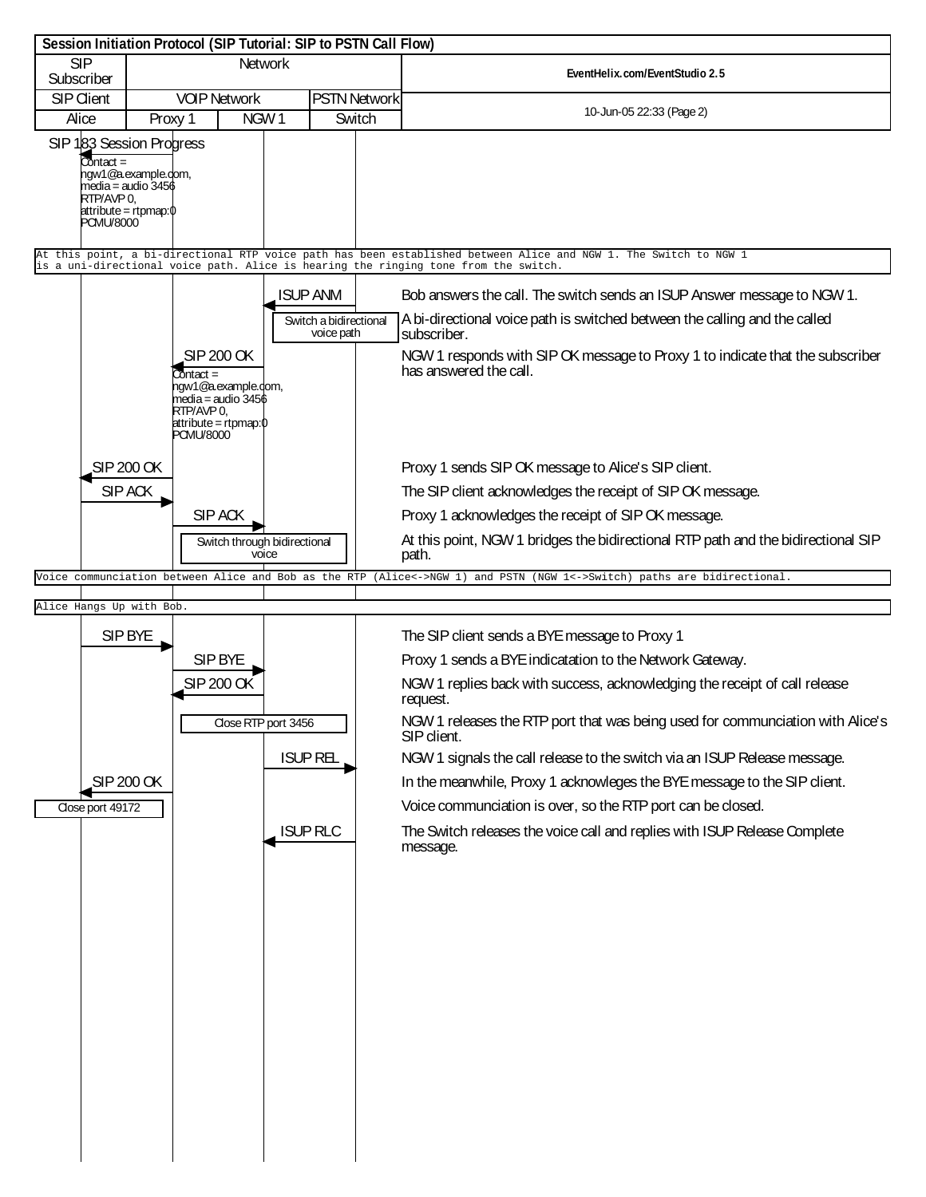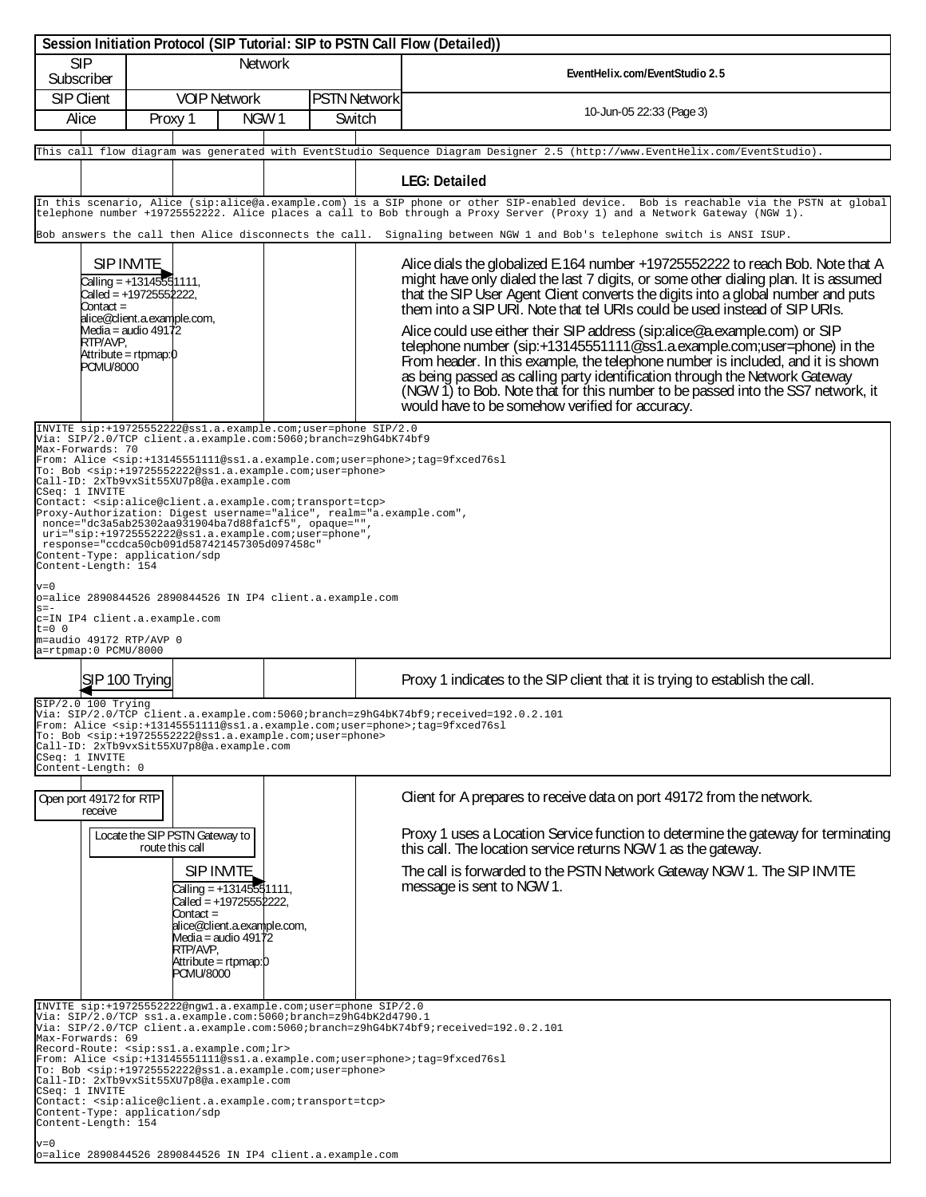|                                                                                                                                                                                                                                                                                                                                                                                                                                                                                                                                                                                                                                                                                                                                                                                                                                                                                      |                                                                                                                                                                                                                                                                                                                                                                                                                                                                                                                                                                                                                          | Session Initiation Protocol (SIP Tutorial: SIP to PSTN Call Flow (Detailed))                                                                                                                                                                                                                                                                                                                        |                                                                                                                                                                                                                                                                                                                                                                                                                                                                                                                                                                                                                                                                                                                                                                                                                                                                                                                                   |  |  |  |
|--------------------------------------------------------------------------------------------------------------------------------------------------------------------------------------------------------------------------------------------------------------------------------------------------------------------------------------------------------------------------------------------------------------------------------------------------------------------------------------------------------------------------------------------------------------------------------------------------------------------------------------------------------------------------------------------------------------------------------------------------------------------------------------------------------------------------------------------------------------------------------------|--------------------------------------------------------------------------------------------------------------------------------------------------------------------------------------------------------------------------------------------------------------------------------------------------------------------------------------------------------------------------------------------------------------------------------------------------------------------------------------------------------------------------------------------------------------------------------------------------------------------------|-----------------------------------------------------------------------------------------------------------------------------------------------------------------------------------------------------------------------------------------------------------------------------------------------------------------------------------------------------------------------------------------------------|-----------------------------------------------------------------------------------------------------------------------------------------------------------------------------------------------------------------------------------------------------------------------------------------------------------------------------------------------------------------------------------------------------------------------------------------------------------------------------------------------------------------------------------------------------------------------------------------------------------------------------------------------------------------------------------------------------------------------------------------------------------------------------------------------------------------------------------------------------------------------------------------------------------------------------------|--|--|--|
| <b>SIP</b><br>Subscriber                                                                                                                                                                                                                                                                                                                                                                                                                                                                                                                                                                                                                                                                                                                                                                                                                                                             |                                                                                                                                                                                                                                                                                                                                                                                                                                                                                                                                                                                                                          | <b>Network</b>                                                                                                                                                                                                                                                                                                                                                                                      | EventHelix.com/EventStudio 2.5                                                                                                                                                                                                                                                                                                                                                                                                                                                                                                                                                                                                                                                                                                                                                                                                                                                                                                    |  |  |  |
| <b>SIP Client</b><br>Alice                                                                                                                                                                                                                                                                                                                                                                                                                                                                                                                                                                                                                                                                                                                                                                                                                                                           | <b>VOIP Network</b><br>Proxy 1                                                                                                                                                                                                                                                                                                                                                                                                                                                                                                                                                                                           | <b>PSTN Network</b><br>NGW1<br>Switch                                                                                                                                                                                                                                                                                                                                                               | 10-Jun-05 22:33 (Page 3)                                                                                                                                                                                                                                                                                                                                                                                                                                                                                                                                                                                                                                                                                                                                                                                                                                                                                                          |  |  |  |
|                                                                                                                                                                                                                                                                                                                                                                                                                                                                                                                                                                                                                                                                                                                                                                                                                                                                                      |                                                                                                                                                                                                                                                                                                                                                                                                                                                                                                                                                                                                                          |                                                                                                                                                                                                                                                                                                                                                                                                     | This call flow diagram was generated with EventStudio Sequence Diagram Designer 2.5 (http://www.EventHelix.com/EventStudio).                                                                                                                                                                                                                                                                                                                                                                                                                                                                                                                                                                                                                                                                                                                                                                                                      |  |  |  |
|                                                                                                                                                                                                                                                                                                                                                                                                                                                                                                                                                                                                                                                                                                                                                                                                                                                                                      |                                                                                                                                                                                                                                                                                                                                                                                                                                                                                                                                                                                                                          |                                                                                                                                                                                                                                                                                                                                                                                                     | <b>LEG: Detailed</b>                                                                                                                                                                                                                                                                                                                                                                                                                                                                                                                                                                                                                                                                                                                                                                                                                                                                                                              |  |  |  |
|                                                                                                                                                                                                                                                                                                                                                                                                                                                                                                                                                                                                                                                                                                                                                                                                                                                                                      |                                                                                                                                                                                                                                                                                                                                                                                                                                                                                                                                                                                                                          |                                                                                                                                                                                                                                                                                                                                                                                                     | In this scenario, Alice (sip:alice@a.example.com) is a SIP phone or other SIP-enabled device. Bob is reachable via the PSTN at global<br>telephone number +19725552222. Alice places a call to Bob through a Proxy Server (Proxy 1) and a Network Gateway (NGW 1).                                                                                                                                                                                                                                                                                                                                                                                                                                                                                                                                                                                                                                                                |  |  |  |
| Contact =<br>RTP/AVP,<br><b>PCMU/8000</b><br>Max-Forwards: 70<br>CSeq: 1 INVITE<br>Content-Length: 154<br>$v = 0$                                                                                                                                                                                                                                                                                                                                                                                                                                                                                                                                                                                                                                                                                                                                                                    | SIP INVITE<br>Calling = $+1314555$ 1111,<br>Called = +19725552222,<br>alice@client.a.example.com,<br>Media = audio 49172<br>Attribute = rtpmap:0<br>To: Bob <sip:+19725552222@ss1.a.example.com;user=phone><br/>Call-ID: 2xTb9vxSit55XU7p8@a.example.com<br/>Contact: <sip:alice@client.a.example.com;transport=tcp><br/>nonce="dc3a5ab25302aa931904ba7d88fa1cf5", opaque="",<br/>uri="sip:+19725552222@ss1.a.example.com;user=phone",<br/>response="ccdca50cb091d587421457305d097458c"<br/>Content-Type: application/sdp</sip:alice@client.a.example.com;transport=tcp></sip:+19725552222@ss1.a.example.com;user=phone> | INVITE sip:+19725552222@ssl.a.example.com;user=phone SIP/2.0<br>Via: SIP/2.0/TCP client.a.example.com:5060;branch=z9hG4bK74bf9<br>From: Alice <sip:+13145551111@ss1.a.example.com;user=phone>;tag=9fxced76sl<br/>Proxy-Authorization: Digest username="alice", realm="a.example.com",<br/>o=alice 2890844526 2890844526 IN IP4 client.a.example.com</sip:+13145551111@ss1.a.example.com;user=phone> | Bob answers the call then Alice disconnects the call. Signaling between NGW 1 and Bob's telephone switch is ANSI ISUP.<br>Alice dials the globalized E.164 number +19725552222 to reach Bob. Note that A<br>might have only dialed the last 7 digits, or some other dialing plan. It is assumed<br>that the SIP User Agent Client converts the digits into a global number and puts<br>them into a SIP URI. Note that tel URIs could be used instead of SIP URIs.<br>Alice could use either their SIP address (sip:alice@a.example.com) or SIP<br>telephone number (sip:+13145551111@ss1.a.example.com;user=phone) in the<br>From header. In this example, the telephone number is included, and it is shown<br>as being passed as calling party identification through the Network Gateway<br>(NGW 1) to Bob. Note that for this number to be passed into the SS7 network, it<br>would have to be somehow verified for accuracy. |  |  |  |
| $s = -$<br>$t = 0$ 0<br>m=audio 49172 RTP/AVP 0<br>a=rtpmap:0 PCMU/8000                                                                                                                                                                                                                                                                                                                                                                                                                                                                                                                                                                                                                                                                                                                                                                                                              | c=IN IP4 client.a.example.com                                                                                                                                                                                                                                                                                                                                                                                                                                                                                                                                                                                            |                                                                                                                                                                                                                                                                                                                                                                                                     |                                                                                                                                                                                                                                                                                                                                                                                                                                                                                                                                                                                                                                                                                                                                                                                                                                                                                                                                   |  |  |  |
| SJP 100 Trying                                                                                                                                                                                                                                                                                                                                                                                                                                                                                                                                                                                                                                                                                                                                                                                                                                                                       |                                                                                                                                                                                                                                                                                                                                                                                                                                                                                                                                                                                                                          |                                                                                                                                                                                                                                                                                                                                                                                                     | Proxy 1 indicates to the SIP client that it is trying to establish the call.                                                                                                                                                                                                                                                                                                                                                                                                                                                                                                                                                                                                                                                                                                                                                                                                                                                      |  |  |  |
| SIP/2.0 100 Trying<br>/ia: SIP/2.0/TCP client.a.example.com:5060;branch=z9hG4bK74bf9;received=192.0.2.101<br>From: Alice <sip:+13145551111@ss1.a.example.com;user=phone>;tag=9fxced76sl<br/>To: Bob <sip:+19725552222@ss1.a.example.com;user=phone><br/>Call-ID: 2xTb9vxSit55XU7p8@a.example.com<br/>CSeq: 1 INVITE<br/>Content-Length: 0</sip:+19725552222@ss1.a.example.com;user=phone></sip:+13145551111@ss1.a.example.com;user=phone>                                                                                                                                                                                                                                                                                                                                                                                                                                            |                                                                                                                                                                                                                                                                                                                                                                                                                                                                                                                                                                                                                          |                                                                                                                                                                                                                                                                                                                                                                                                     |                                                                                                                                                                                                                                                                                                                                                                                                                                                                                                                                                                                                                                                                                                                                                                                                                                                                                                                                   |  |  |  |
| Open port 49172 for RTP<br>receive                                                                                                                                                                                                                                                                                                                                                                                                                                                                                                                                                                                                                                                                                                                                                                                                                                                   |                                                                                                                                                                                                                                                                                                                                                                                                                                                                                                                                                                                                                          |                                                                                                                                                                                                                                                                                                                                                                                                     | Client for A prepares to receive data on port 49172 from the network.                                                                                                                                                                                                                                                                                                                                                                                                                                                                                                                                                                                                                                                                                                                                                                                                                                                             |  |  |  |
|                                                                                                                                                                                                                                                                                                                                                                                                                                                                                                                                                                                                                                                                                                                                                                                                                                                                                      | Locate the SIP PSTN Gateway to<br>route this call<br>SIP INVITE<br>Calling = $+13145551111$ ,<br>Called = +19725552222,<br>Contact =<br>alice@client.a.example.com,<br>Media = audio $49172$<br>RTP/AVP,<br>Attribute = rtpmap:0<br>PCMU/8000                                                                                                                                                                                                                                                                                                                                                                            |                                                                                                                                                                                                                                                                                                                                                                                                     | Proxy 1 uses a Location Service function to determine the gateway for terminating<br>this call. The location service returns NGW 1 as the gateway.<br>The call is forwarded to the PSTN Network Gateway NGW 1. The SIP INVITE<br>message is sent to NGW 1.                                                                                                                                                                                                                                                                                                                                                                                                                                                                                                                                                                                                                                                                        |  |  |  |
| INVITE sip:+19725552222@ngwl.a.example.com;user=phone SIP/2.0<br>Via: SIP/2.0/TCP ssl.a.example.com:5060;branch=z9hG4bK2d4790.1<br>Via: SIP/2.0/TCP client.a.example.com:5060;branch=z9hG4bK74bf9;received=192.0.2.101<br>Max-Forwards: 69<br>Record-Route: <sip:ss1.a.example.com;lr><br/>From: Alice <sip:+13145551111@ssl.a.example.com;user=phone>;tag=9fxced76sl<br/>To: Bob <sip:+19725552222@ss1.a.example.com;user=phone><br/>Call-ID: 2xTb9vxSit55XU7p8@a.example.com<br/>CSeq: 1 INVITE<br/>Contact: <sip:alice@client.a.example.com;transport=tcp><br/>Content-Type: application/sdp<br/>Content-Length: 154<br/><math>v=0</math><br/>o=alice 2890844526 2890844526 IN IP4 client.a.example.com</sip:alice@client.a.example.com;transport=tcp></sip:+19725552222@ss1.a.example.com;user=phone></sip:+13145551111@ssl.a.example.com;user=phone></sip:ss1.a.example.com;lr> |                                                                                                                                                                                                                                                                                                                                                                                                                                                                                                                                                                                                                          |                                                                                                                                                                                                                                                                                                                                                                                                     |                                                                                                                                                                                                                                                                                                                                                                                                                                                                                                                                                                                                                                                                                                                                                                                                                                                                                                                                   |  |  |  |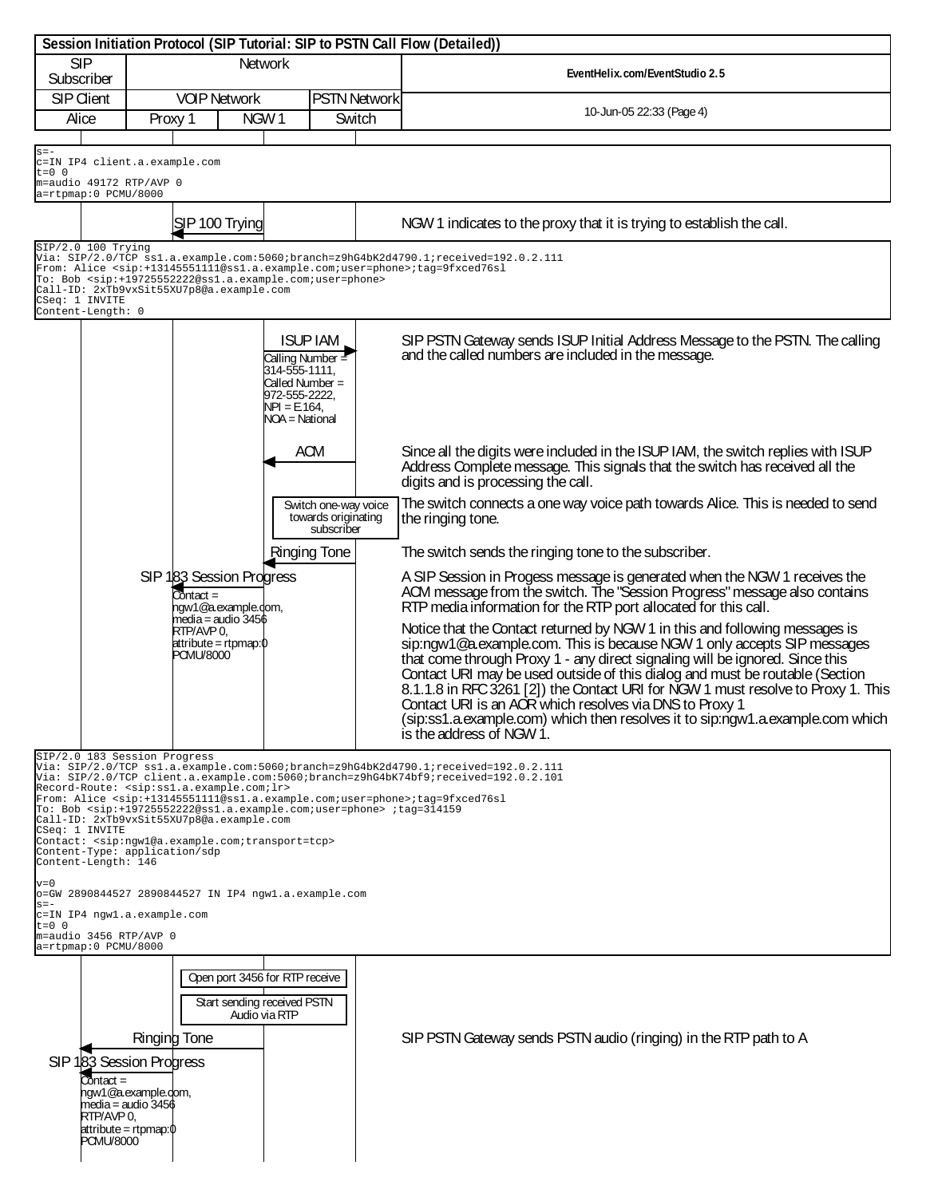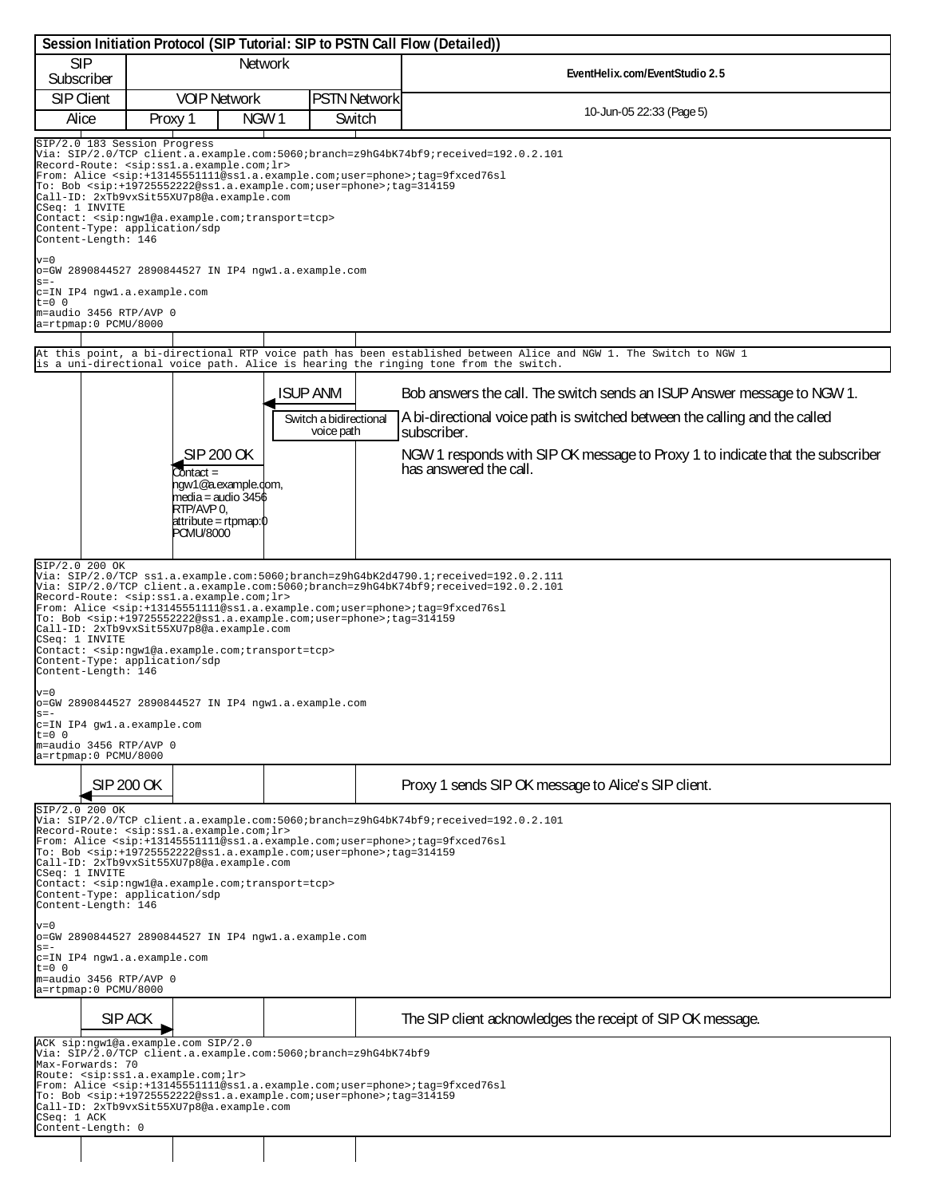| Session Initiation Protocol (SIP Tutorial: SIP to PSTN Call Flow (Detailed))                                                                                                                                                                                                                                                                                                                                                                                                                                                                                                                                                                                                                                                                                                                                                                                                                                                                                    |                                                                                                                                                                                                                                                                                                                                                                                                                                                                                                                                                                                                                                                                                                      |                                                                                                      |                                                  |  |                                                                                                                                                                                                                                                                                 |  |  |
|-----------------------------------------------------------------------------------------------------------------------------------------------------------------------------------------------------------------------------------------------------------------------------------------------------------------------------------------------------------------------------------------------------------------------------------------------------------------------------------------------------------------------------------------------------------------------------------------------------------------------------------------------------------------------------------------------------------------------------------------------------------------------------------------------------------------------------------------------------------------------------------------------------------------------------------------------------------------|------------------------------------------------------------------------------------------------------------------------------------------------------------------------------------------------------------------------------------------------------------------------------------------------------------------------------------------------------------------------------------------------------------------------------------------------------------------------------------------------------------------------------------------------------------------------------------------------------------------------------------------------------------------------------------------------------|------------------------------------------------------------------------------------------------------|--------------------------------------------------|--|---------------------------------------------------------------------------------------------------------------------------------------------------------------------------------------------------------------------------------------------------------------------------------|--|--|
| <b>SIP</b><br>Subscriber                                                                                                                                                                                                                                                                                                                                                                                                                                                                                                                                                                                                                                                                                                                                                                                                                                                                                                                                        |                                                                                                                                                                                                                                                                                                                                                                                                                                                                                                                                                                                                                                                                                                      | <b>Network</b>                                                                                       |                                                  |  | EventHelix.com/EventStudio 2.5                                                                                                                                                                                                                                                  |  |  |
| <b>SIP Client</b>                                                                                                                                                                                                                                                                                                                                                                                                                                                                                                                                                                                                                                                                                                                                                                                                                                                                                                                                               |                                                                                                                                                                                                                                                                                                                                                                                                                                                                                                                                                                                                                                                                                                      | <b>VOIP Network</b>                                                                                  | <b>PSTN Network</b>                              |  |                                                                                                                                                                                                                                                                                 |  |  |
| Alice                                                                                                                                                                                                                                                                                                                                                                                                                                                                                                                                                                                                                                                                                                                                                                                                                                                                                                                                                           | Proxy 1                                                                                                                                                                                                                                                                                                                                                                                                                                                                                                                                                                                                                                                                                              | NGW <sub>1</sub>                                                                                     | Switch                                           |  | 10-Jun-05 22:33 (Page 5)                                                                                                                                                                                                                                                        |  |  |
| $v=0$<br>$s = -$                                                                                                                                                                                                                                                                                                                                                                                                                                                                                                                                                                                                                                                                                                                                                                                                                                                                                                                                                | SIP/2.0 183 Session Progress<br>Via: SIP/2.0/TCP client.a.example.com:5060;branch=z9hG4bK74bf9;received=192.0.2.101<br>Record-Route: <sip:ss1.a.example.com;lr><br/>From: Alice <sip:+13145551111@ss1.a.example.com;user=phone>;tag=9fxced76sl<br/>To: Bob <math>\langle</math>sip:+19725552222@ss1.a.example.com;user=phone&gt;;tag=314159<br/>Call-ID: 2xTb9vxSit55XU7p8@a.example.com<br/>CSeq: 1 INVITE<br/>Contact: <sip:ngwl@a.example.com;transport=tcp><br/>Content-Type: application/sdp<br/>Content-Length: 146<br/>o=GW 2890844527 2890844527 IN IP4 ngwl.a.example.com</sip:ngwl@a.example.com;transport=tcp></sip:+13145551111@ss1.a.example.com;user=phone></sip:ss1.a.example.com;lr> |                                                                                                      |                                                  |  |                                                                                                                                                                                                                                                                                 |  |  |
| c=IN IP4 ngwl.a.example.com<br>$t=0$ 0                                                                                                                                                                                                                                                                                                                                                                                                                                                                                                                                                                                                                                                                                                                                                                                                                                                                                                                          |                                                                                                                                                                                                                                                                                                                                                                                                                                                                                                                                                                                                                                                                                                      |                                                                                                      |                                                  |  |                                                                                                                                                                                                                                                                                 |  |  |
| m=audio 3456 RTP/AVP 0<br>a=rtpmap:0 PCMU/8000                                                                                                                                                                                                                                                                                                                                                                                                                                                                                                                                                                                                                                                                                                                                                                                                                                                                                                                  |                                                                                                                                                                                                                                                                                                                                                                                                                                                                                                                                                                                                                                                                                                      |                                                                                                      |                                                  |  |                                                                                                                                                                                                                                                                                 |  |  |
|                                                                                                                                                                                                                                                                                                                                                                                                                                                                                                                                                                                                                                                                                                                                                                                                                                                                                                                                                                 |                                                                                                                                                                                                                                                                                                                                                                                                                                                                                                                                                                                                                                                                                                      |                                                                                                      |                                                  |  |                                                                                                                                                                                                                                                                                 |  |  |
|                                                                                                                                                                                                                                                                                                                                                                                                                                                                                                                                                                                                                                                                                                                                                                                                                                                                                                                                                                 |                                                                                                                                                                                                                                                                                                                                                                                                                                                                                                                                                                                                                                                                                                      |                                                                                                      |                                                  |  | At this point, a bi-directional RTP voice path has been established between Alice and NGW 1. The Switch to NGW 1<br>is a uni-directional voice path. Alice is hearing the ringing tone from the switch.                                                                         |  |  |
|                                                                                                                                                                                                                                                                                                                                                                                                                                                                                                                                                                                                                                                                                                                                                                                                                                                                                                                                                                 |                                                                                                                                                                                                                                                                                                                                                                                                                                                                                                                                                                                                                                                                                                      | SIP 200 OK<br>Contact =                                                                              | ISUP ANM<br>Switch a bidirectional<br>voice path |  | Bob answers the call. The switch sends an ISUP Answer message to NGW 1.<br>A bi-directional voice path is switched between the calling and the called<br>subscriber.<br>NGW 1 responds with SIP OK message to Proxy 1 to indicate that the subscriber<br>has answered the call. |  |  |
|                                                                                                                                                                                                                                                                                                                                                                                                                                                                                                                                                                                                                                                                                                                                                                                                                                                                                                                                                                 |                                                                                                                                                                                                                                                                                                                                                                                                                                                                                                                                                                                                                                                                                                      | hqw1@a.example.dom,<br>media = audio 3456<br>RTP/AVP 0,<br> attribute = rtpmap:0<br><b>PCMU/8000</b> |                                                  |  |                                                                                                                                                                                                                                                                                 |  |  |
| SIP/2.0 200 OK<br>Via: SIP/2.0/TCP ss1.a.example.com:5060;branch=z9hG4bK2d4790.1;received=192.0.2.111<br>Via: SIP/2.0/TCP client.a.example.com:5060;branch=z9hG4bK74bf9;received=192.0.2.101<br>Record-Route: <sip:ss1.a.example.com;lr><br/>From: Alice <sip:+13145551111@ss1.a.example.com;user=phone>;tag=9fxced76sl<br/>To: Bob <sip:+19725552222@ss1.a.example.com;user=phone>;tag=314159<br/>Call-ID: 2xTb9vxSit55XU7p8@a.example.com<br/>CSeq: 1 INVITE<br/>Contact: <sip:ngwl@a.example.com;transport=tcp><br/>Content-Type: application/sdp<br/>Content-Length: 146<br/><math>v = 0</math><br/>o=GW 2890844527 2890844527 IN IP4 ngwl.a.example.com<br/><math>s = -</math><br/>c=IN IP4 gwl.a.example.com<br/><math>t=0</math> 0<br/>m=audio 3456 RTP/AVP 0<br/>a=rtpmap:0 PCMU/8000</sip:ngwl@a.example.com;transport=tcp></sip:+19725552222@ss1.a.example.com;user=phone></sip:+13145551111@ss1.a.example.com;user=phone></sip:ss1.a.example.com;lr> |                                                                                                                                                                                                                                                                                                                                                                                                                                                                                                                                                                                                                                                                                                      |                                                                                                      |                                                  |  |                                                                                                                                                                                                                                                                                 |  |  |
|                                                                                                                                                                                                                                                                                                                                                                                                                                                                                                                                                                                                                                                                                                                                                                                                                                                                                                                                                                 | SIP 200 OK.                                                                                                                                                                                                                                                                                                                                                                                                                                                                                                                                                                                                                                                                                          |                                                                                                      |                                                  |  | Proxy 1 sends SIP OK message to Alice's SIP client.                                                                                                                                                                                                                             |  |  |
| SIP/2.0 200 OK<br>Via: SIP/2.0/TCP client.a.example.com:5060;branch=z9hG4bK74bf9;received=192.0.2.101<br>Record-Route: <sip:ssl.a.example.com;lr><br/>From: Alice <sip:+13145551111@ss1.a.example.com;user=phone>;tag=9fxced76sl<br/>To: Bob <sip:+19725552222@ss1.a.example.com;user=phone>;tag=314159<br/>Call-ID: 2xTb9vxSit55XU7p8@a.example.com<br/>CSeq: 1 INVITE<br/>Contact: <sip:ngwl@a.example.com;transport=tcp><br/>Content-Type: application/sdp<br/>Content-Length: 146</sip:ngwl@a.example.com;transport=tcp></sip:+19725552222@ss1.a.example.com;user=phone></sip:+13145551111@ss1.a.example.com;user=phone></sip:ssl.a.example.com;lr>                                                                                                                                                                                                                                                                                                         |                                                                                                                                                                                                                                                                                                                                                                                                                                                                                                                                                                                                                                                                                                      |                                                                                                      |                                                  |  |                                                                                                                                                                                                                                                                                 |  |  |
| $v = 0$<br>o=GW 2890844527 2890844527 IN IP4 ngwl.a.example.com                                                                                                                                                                                                                                                                                                                                                                                                                                                                                                                                                                                                                                                                                                                                                                                                                                                                                                 |                                                                                                                                                                                                                                                                                                                                                                                                                                                                                                                                                                                                                                                                                                      |                                                                                                      |                                                  |  |                                                                                                                                                                                                                                                                                 |  |  |
| $s = -$<br>c=IN IP4 ngwl.a.example.com<br>$t=0$ 0<br>m=audio 3456 RTP/AVP 0<br>a=rtpmap:0 PCMU/8000                                                                                                                                                                                                                                                                                                                                                                                                                                                                                                                                                                                                                                                                                                                                                                                                                                                             |                                                                                                                                                                                                                                                                                                                                                                                                                                                                                                                                                                                                                                                                                                      |                                                                                                      |                                                  |  |                                                                                                                                                                                                                                                                                 |  |  |
|                                                                                                                                                                                                                                                                                                                                                                                                                                                                                                                                                                                                                                                                                                                                                                                                                                                                                                                                                                 | SIP ACK                                                                                                                                                                                                                                                                                                                                                                                                                                                                                                                                                                                                                                                                                              |                                                                                                      |                                                  |  | The SIP client acknowledges the receipt of SIP OK message.                                                                                                                                                                                                                      |  |  |
| ACK sip:ngwl@a.example.com SIP/2.0<br>Via: SIP/2.0/TCP client.a.example.com:5060;branch=z9hG4bK74bf9<br>Max-Forwards: 70<br>Route: <sip:ss1.a.example.com;lr><br/>From: Alice <sip:+13145551111@ss1.a.example.com;user=phone>;tag=9fxced76sl<br/>To: Bob <math>\langle</math>sip:+19725552222@ss1.a.example.com;user=phone&gt;;tag=314159<br/>Call-ID: 2xTb9vxSit55XU7p8@a.example.com<br/>CSeq: 1 ACK<br/>Content-Length: 0</sip:+13145551111@ss1.a.example.com;user=phone></sip:ss1.a.example.com;lr>                                                                                                                                                                                                                                                                                                                                                                                                                                                         |                                                                                                                                                                                                                                                                                                                                                                                                                                                                                                                                                                                                                                                                                                      |                                                                                                      |                                                  |  |                                                                                                                                                                                                                                                                                 |  |  |
|                                                                                                                                                                                                                                                                                                                                                                                                                                                                                                                                                                                                                                                                                                                                                                                                                                                                                                                                                                 |                                                                                                                                                                                                                                                                                                                                                                                                                                                                                                                                                                                                                                                                                                      |                                                                                                      |                                                  |  |                                                                                                                                                                                                                                                                                 |  |  |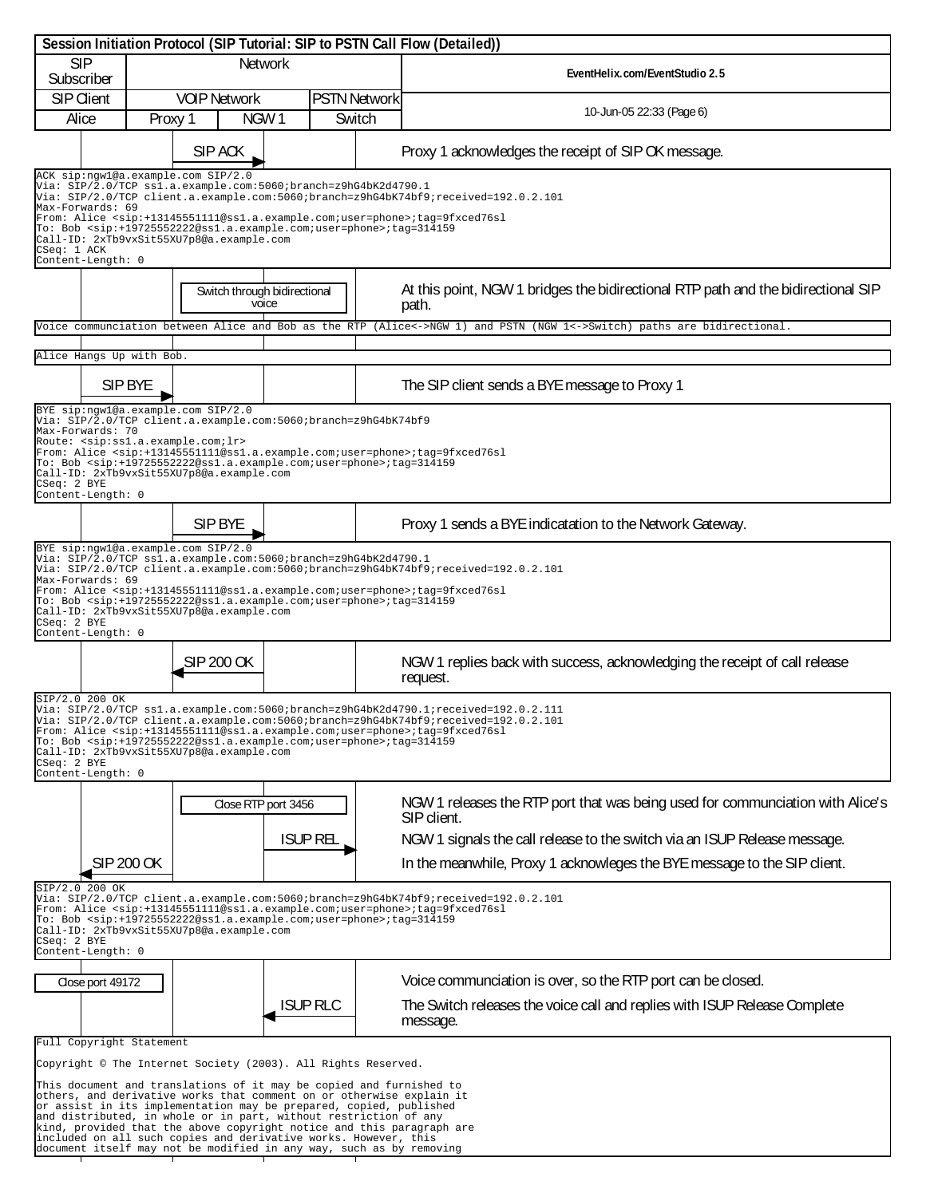| Session Initiation Protocol (SIP Tutorial: SIP to PSTN Call Flow (Detailed))                                                                                                                                                                                                                                                                                                                                                                                                                                                         |                                                                                                                                                                                                                                                                                                                                               |                                                                                                    |                                                                                                                                                                                                                                                                                                                     |                                                                                                                                                       |  |  |  |  |
|--------------------------------------------------------------------------------------------------------------------------------------------------------------------------------------------------------------------------------------------------------------------------------------------------------------------------------------------------------------------------------------------------------------------------------------------------------------------------------------------------------------------------------------|-----------------------------------------------------------------------------------------------------------------------------------------------------------------------------------------------------------------------------------------------------------------------------------------------------------------------------------------------|----------------------------------------------------------------------------------------------------|---------------------------------------------------------------------------------------------------------------------------------------------------------------------------------------------------------------------------------------------------------------------------------------------------------------------|-------------------------------------------------------------------------------------------------------------------------------------------------------|--|--|--|--|
| <b>SIP</b><br>Network<br>Subscriber                                                                                                                                                                                                                                                                                                                                                                                                                                                                                                  |                                                                                                                                                                                                                                                                                                                                               |                                                                                                    | EventHelix.com/EventStudio 2.5                                                                                                                                                                                                                                                                                      |                                                                                                                                                       |  |  |  |  |
| <b>SIP Client</b><br>Alice                                                                                                                                                                                                                                                                                                                                                                                                                                                                                                           | Proxy 1                                                                                                                                                                                                                                                                                                                                       | <b>VOIP Network</b><br>NGW1                                                                        | <b>PSTN Network</b><br>Switch                                                                                                                                                                                                                                                                                       | 10-Jun-05 22:33 (Page 6)                                                                                                                              |  |  |  |  |
|                                                                                                                                                                                                                                                                                                                                                                                                                                                                                                                                      |                                                                                                                                                                                                                                                                                                                                               | SIP ACK                                                                                            |                                                                                                                                                                                                                                                                                                                     | Proxy 1 acknowledges the receipt of SIP OK message.                                                                                                   |  |  |  |  |
|                                                                                                                                                                                                                                                                                                                                                                                                                                                                                                                                      | ACK sip:ngwl@a.example.com SIP/2.0<br>Via: SIP/2.0/TCP ss1.a.example.com:5060;branch=z9hG4bK2d4790.1<br>Via: SIP/2.0/TCP client.a.example.com:5060;branch=z9hG4bK74bf9;received=192.0.2.101<br>Max-Forwards: 69<br>From: Alice <sip:+13145551111@ss1.a.example.com;user=phone>;tag=9fxced76sl</sip:+13145551111@ss1.a.example.com;user=phone> |                                                                                                    |                                                                                                                                                                                                                                                                                                                     |                                                                                                                                                       |  |  |  |  |
|                                                                                                                                                                                                                                                                                                                                                                                                                                                                                                                                      | To: Bob <sip:+19725552222@ss1.a.example.com;user=phone>;tag=314159<br/>Call-ID: 2xTb9vxSit55XU7p8@a.example.com<br/>CSeq: 1 ACK<br/>Content-Length: 0</sip:+19725552222@ss1.a.example.com;user=phone>                                                                                                                                         |                                                                                                    |                                                                                                                                                                                                                                                                                                                     |                                                                                                                                                       |  |  |  |  |
|                                                                                                                                                                                                                                                                                                                                                                                                                                                                                                                                      | Switch through bidirectional<br>voice                                                                                                                                                                                                                                                                                                         |                                                                                                    |                                                                                                                                                                                                                                                                                                                     | At this point, NGW 1 bridges the bidirectional RTP path and the bidirectional SIP<br>path.                                                            |  |  |  |  |
|                                                                                                                                                                                                                                                                                                                                                                                                                                                                                                                                      |                                                                                                                                                                                                                                                                                                                                               |                                                                                                    |                                                                                                                                                                                                                                                                                                                     | Voice communciation between Alice and Bob as the RTP (Alice<->NGW 1) and PSTN (NGW 1<->Switch) paths are bidirectional.                               |  |  |  |  |
| Alice Hangs Up with Bob.                                                                                                                                                                                                                                                                                                                                                                                                                                                                                                             |                                                                                                                                                                                                                                                                                                                                               |                                                                                                    |                                                                                                                                                                                                                                                                                                                     |                                                                                                                                                       |  |  |  |  |
|                                                                                                                                                                                                                                                                                                                                                                                                                                                                                                                                      | SIP BYE                                                                                                                                                                                                                                                                                                                                       |                                                                                                    |                                                                                                                                                                                                                                                                                                                     | The SIP client sends a BYE message to Proxy 1                                                                                                         |  |  |  |  |
| Max-Forwards: 70                                                                                                                                                                                                                                                                                                                                                                                                                                                                                                                     |                                                                                                                                                                                                                                                                                                                                               | BYE sip:nqwl@a.example.com SIP/2.0<br>Route: <sip:ss1.a.example.com;lr></sip:ss1.a.example.com;lr> | Via: SIP/2.0/TCP client.a.example.com:5060;branch=z9hG4bK74bf9                                                                                                                                                                                                                                                      |                                                                                                                                                       |  |  |  |  |
| CSeq: 2 BYE<br>Content-Length: 0                                                                                                                                                                                                                                                                                                                                                                                                                                                                                                     |                                                                                                                                                                                                                                                                                                                                               | Call-ID: 2xTb9vxSit55XU7p8@a.example.com                                                           | From: Alice <sip:+13145551111@ss1.a.example.com;user=phone>;tag=9fxced76sl<br/>To: Bob <sip:+19725552222@ss1.a.example.com;user=phone>;tag=314159</sip:+19725552222@ss1.a.example.com;user=phone></sip:+13145551111@ss1.a.example.com;user=phone>                                                                   |                                                                                                                                                       |  |  |  |  |
|                                                                                                                                                                                                                                                                                                                                                                                                                                                                                                                                      |                                                                                                                                                                                                                                                                                                                                               | SIP BYE                                                                                            |                                                                                                                                                                                                                                                                                                                     | Proxy 1 sends a BYE indicatation to the Network Gateway.                                                                                              |  |  |  |  |
| Max-Forwards: 69                                                                                                                                                                                                                                                                                                                                                                                                                                                                                                                     |                                                                                                                                                                                                                                                                                                                                               | BYE sip:ngwl@a.example.com SIP/2.0<br>Call-ID: 2xTb9vxSit55XU7p8@a.example.com                     | Via: SIP/2.0/TCP ss1.a.example.com:5060;branch=z9hG4bK2d4790.1<br>From: Alice <sip:+13145551111@ss1.a.example.com;user=phone>;tag=9fxced76sl<br/>To: Bob <sip:+19725552222@ss1.a.example.com;user=phone>;tag=314159</sip:+19725552222@ss1.a.example.com;user=phone></sip:+13145551111@ss1.a.example.com;user=phone> | Via: SIP/2.0/TCP client.a.example.com:5060;branch=z9hG4bK74bf9;received=192.0.2.101                                                                   |  |  |  |  |
| CSeq: 2 BYE<br>Content-Length: 0                                                                                                                                                                                                                                                                                                                                                                                                                                                                                                     |                                                                                                                                                                                                                                                                                                                                               |                                                                                                    |                                                                                                                                                                                                                                                                                                                     |                                                                                                                                                       |  |  |  |  |
|                                                                                                                                                                                                                                                                                                                                                                                                                                                                                                                                      |                                                                                                                                                                                                                                                                                                                                               | SIP 200 OK                                                                                         |                                                                                                                                                                                                                                                                                                                     | NGW 1 replies back with success, acknowledging the receipt of call release<br>request.                                                                |  |  |  |  |
| SIP/2.0 200 OK<br>Via: SIP/2.0/TCP ss1.a.example.com:5060;branch=z9hG4bK2d4790.1;received=192.0.2.111<br>Via: SIP/2.0/TCP client.a.example.com:5060;branch=z9hG4bK74bf9;received=192.0.2.101<br>From: Alice <sip:+13145551111@ss1.a.example.com;user=phone>;tag=9fxced76sl<br/>To: Bob <sip:+19725552222@ss1.a.example.com;user=phone>;tag=314159<br/>Call-ID: 2xTb9vxSit55XU7p8@a.example.com<br/>CSeq: 2 BYE<br/>Content-Length: 0</sip:+19725552222@ss1.a.example.com;user=phone></sip:+13145551111@ss1.a.example.com;user=phone> |                                                                                                                                                                                                                                                                                                                                               |                                                                                                    |                                                                                                                                                                                                                                                                                                                     |                                                                                                                                                       |  |  |  |  |
|                                                                                                                                                                                                                                                                                                                                                                                                                                                                                                                                      |                                                                                                                                                                                                                                                                                                                                               |                                                                                                    |                                                                                                                                                                                                                                                                                                                     |                                                                                                                                                       |  |  |  |  |
|                                                                                                                                                                                                                                                                                                                                                                                                                                                                                                                                      |                                                                                                                                                                                                                                                                                                                                               | Close RTP port 3456                                                                                |                                                                                                                                                                                                                                                                                                                     | NGW 1 releases the RTP port that was being used for communciation with Alice's<br>SIP client.                                                         |  |  |  |  |
|                                                                                                                                                                                                                                                                                                                                                                                                                                                                                                                                      | SIP 200 OK                                                                                                                                                                                                                                                                                                                                    |                                                                                                    | <b>ISUP REL</b>                                                                                                                                                                                                                                                                                                     | NGW 1 signals the call release to the switch via an ISUP Release message.<br>In the meanwhile, Proxy 1 acknowleges the BYE message to the SIP client. |  |  |  |  |
| SIP/2.0 200 OK<br>Via: SIP/2.0/TCP client.a.example.com:5060;branch=z9hG4bK74bf9;received=192.0.2.101<br>From: Alice <sip:+13145551111@ss1.a.example.com;user=phone>;tag=9fxced76sl<br/>To: Bob <sip:+19725552222@ss1.a.example.com;user=phone>;tag=314159<br/>Call-ID: 2xTb9vxSit55XU7p8@a.example.com<br/><math>CSeq: 2</math> BYE<br/>Content-Length: 0</sip:+19725552222@ss1.a.example.com;user=phone></sip:+13145551111@ss1.a.example.com;user=phone>                                                                           |                                                                                                                                                                                                                                                                                                                                               |                                                                                                    |                                                                                                                                                                                                                                                                                                                     |                                                                                                                                                       |  |  |  |  |
| Close port 49172                                                                                                                                                                                                                                                                                                                                                                                                                                                                                                                     |                                                                                                                                                                                                                                                                                                                                               |                                                                                                    |                                                                                                                                                                                                                                                                                                                     | Voice communciation is over, so the RTP port can be closed.                                                                                           |  |  |  |  |
|                                                                                                                                                                                                                                                                                                                                                                                                                                                                                                                                      |                                                                                                                                                                                                                                                                                                                                               |                                                                                                    | <b>ISUP RLC</b>                                                                                                                                                                                                                                                                                                     | The Switch releases the voice call and replies with ISUP Release Complete<br>message.                                                                 |  |  |  |  |
| Full Copyright Statement                                                                                                                                                                                                                                                                                                                                                                                                                                                                                                             |                                                                                                                                                                                                                                                                                                                                               |                                                                                                    |                                                                                                                                                                                                                                                                                                                     |                                                                                                                                                       |  |  |  |  |
| Copyright © The Internet Society (2003). All Rights Reserved.                                                                                                                                                                                                                                                                                                                                                                                                                                                                        |                                                                                                                                                                                                                                                                                                                                               |                                                                                                    |                                                                                                                                                                                                                                                                                                                     |                                                                                                                                                       |  |  |  |  |
| This document and translations of it may be copied and furnished to<br>others, and derivative works that comment on or otherwise explain it<br>or assist in its implementation may be prepared, copied, published<br>and distributed, in whole or in part, without restriction of any<br>kind, provided that the above copyright notice and this paragraph are<br>included on all such copies and derivative works. However, this                                                                                                    |                                                                                                                                                                                                                                                                                                                                               |                                                                                                    |                                                                                                                                                                                                                                                                                                                     |                                                                                                                                                       |  |  |  |  |
| document itself may not be modified in any way, such as by removing                                                                                                                                                                                                                                                                                                                                                                                                                                                                  |                                                                                                                                                                                                                                                                                                                                               |                                                                                                    |                                                                                                                                                                                                                                                                                                                     |                                                                                                                                                       |  |  |  |  |